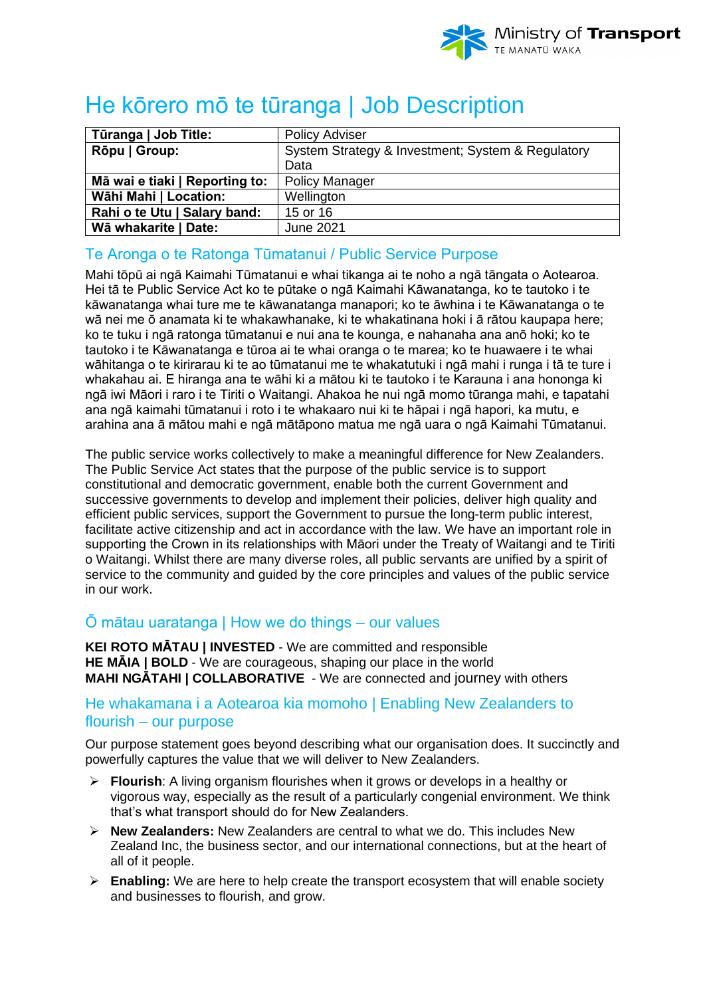

# He kōrero mō te tūranga | Job Description

| Tūranga   Job Title:           | <b>Policy Adviser</b>                             |
|--------------------------------|---------------------------------------------------|
| Rōpu   Group:                  | System Strategy & Investment; System & Regulatory |
|                                | Data                                              |
| Mā wai e tiaki   Reporting to: | <b>Policy Manager</b>                             |
| Wāhi Mahi   Location:          | Wellington                                        |
| Rahi o te Utu   Salary band:   | 15 or 16                                          |
| Wā whakarite   Date:           | <b>June 2021</b>                                  |

## Te Aronga o te Ratonga Tūmatanui / Public Service Purpose

Mahi tōpū ai ngā Kaimahi Tūmatanui e whai tikanga ai te noho a ngā tāngata o Aotearoa. Hei tā te Public Service Act ko te pūtake o ngā Kaimahi Kāwanatanga, ko te tautoko i te kāwanatanga whai ture me te kāwanatanga manapori; ko te āwhina i te Kāwanatanga o te wā nei me ō anamata ki te whakawhanake, ki te whakatinana hoki i ā rātou kaupapa here; ko te tuku i ngā ratonga tūmatanui e nui ana te kounga, e nahanaha ana anō hoki; ko te tautoko i te Kāwanatanga e tūroa ai te whai oranga o te marea; ko te huawaere i te whai wāhitanga o te kirirarau ki te ao tūmatanui me te whakatutuki i ngā mahi i runga i tā te ture i whakahau ai. E hiranga ana te wāhi ki a mātou ki te tautoko i te Karauna i ana hononga ki ngā iwi Māori i raro i te Tiriti o Waitangi. Ahakoa he nui ngā momo tūranga mahi, e tapatahi ana ngā kaimahi tūmatanui i roto i te whakaaro nui ki te hāpai i ngā hapori, ka mutu, e arahina ana ā mātou mahi e ngā mātāpono matua me ngā uara o ngā Kaimahi Tūmatanui.

The public service works collectively to make a meaningful difference for New Zealanders. The Public Service Act states that the purpose of the public service is to support constitutional and democratic government, enable both the current Government and successive governments to develop and implement their policies, deliver high quality and efficient public services, support the Government to pursue the long-term public interest, facilitate active citizenship and act in accordance with the law. We have an important role in supporting the Crown in its relationships with Māori under the Treaty of Waitangi and te Tiriti o Waitangi. Whilst there are many diverse roles, all public servants are unified by a spirit of service to the community and guided by the core principles and values of the public service in our work.

# Ō mātau uaratanga | How we do things – our values

**KEI ROTO MĀTAU | INVESTED** - We are committed and responsible **HE MĀIA | BOLD** - We are courageous, shaping our place in the world **MAHI NGĀTAHI | COLLABORATIVE** - We are connected and journey with others

## He whakamana i a Aotearoa kia momoho | Enabling New Zealanders to flourish – our purpose

Our purpose statement goes beyond describing what our organisation does. It succinctly and powerfully captures the value that we will deliver to New Zealanders.

- ➢ **Flourish**: A living organism flourishes when it grows or develops in a healthy or vigorous way, especially as the result of a particularly congenial environment. We think that's what transport should do for New Zealanders.
- ➢ **New Zealanders:** New Zealanders are central to what we do. This includes New Zealand Inc, the business sector, and our international connections, but at the heart of all of it people.
- ➢ **Enabling:** We are here to help create the transport ecosystem that will enable society and businesses to flourish, and grow.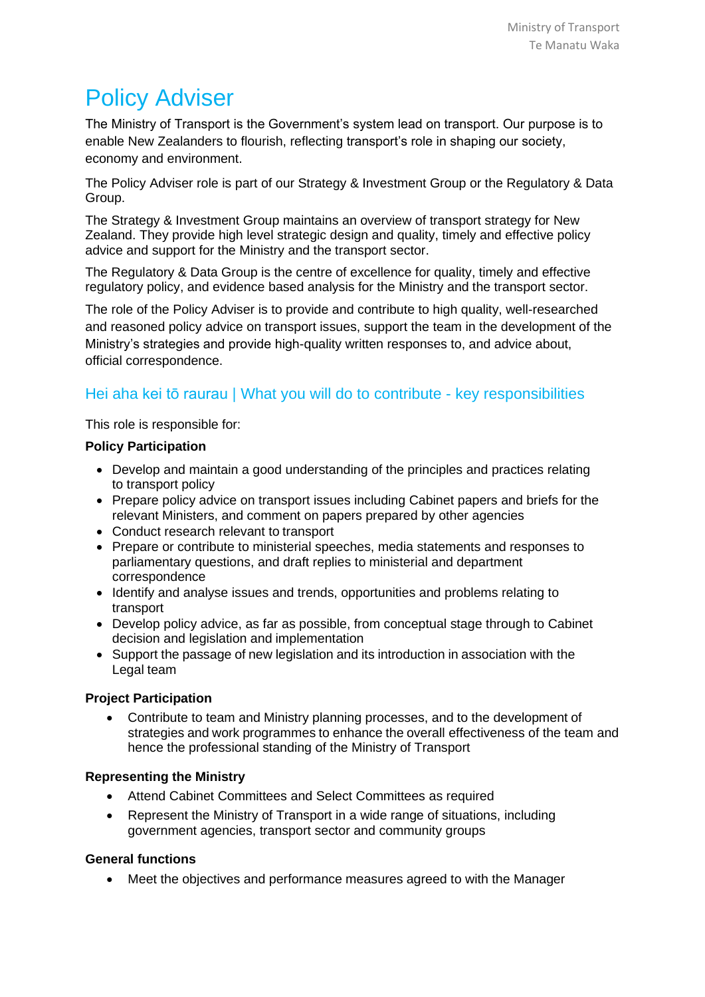# Policy Adviser

The Ministry of Transport is the Government's system lead on transport. Our purpose is to enable New Zealanders to flourish, reflecting transport's role in shaping our society, economy and environment.

The Policy Adviser role is part of our Strategy & Investment Group or the Regulatory & Data Group.

The Strategy & Investment Group maintains an overview of transport strategy for New Zealand. They provide high level strategic design and quality, timely and effective policy advice and support for the Ministry and the transport sector.

The Regulatory & Data Group is the centre of excellence for quality, timely and effective regulatory policy, and evidence based analysis for the Ministry and the transport sector.

The role of the Policy Adviser is to provide and contribute to high quality, well-researched and reasoned policy advice on transport issues, support the team in the development of the Ministry's strategies and provide high-quality written responses to, and advice about, official correspondence.

# Hei aha kei tō raurau | What you will do to contribute - key responsibilities

This role is responsible for:

## **Policy Participation**

- Develop and maintain a good understanding of the principles and practices relating to transport policy
- Prepare policy advice on transport issues including Cabinet papers and briefs for the relevant Ministers, and comment on papers prepared by other agencies
- Conduct research relevant to transport
- Prepare or contribute to ministerial speeches, media statements and responses to parliamentary questions, and draft replies to ministerial and department correspondence
- Identify and analyse issues and trends, opportunities and problems relating to transport
- Develop policy advice, as far as possible, from conceptual stage through to Cabinet decision and legislation and implementation
- Support the passage of new legislation and its introduction in association with the Legal team

## **Project Participation**

• Contribute to team and Ministry planning processes, and to the development of strategies and work programmes to enhance the overall effectiveness of the team and hence the professional standing of the Ministry of Transport

## **Representing the Ministry**

- Attend Cabinet Committees and Select Committees as required
- Represent the Ministry of Transport in a wide range of situations, including government agencies, transport sector and community groups

## **General functions**

• Meet the objectives and performance measures agreed to with the Manager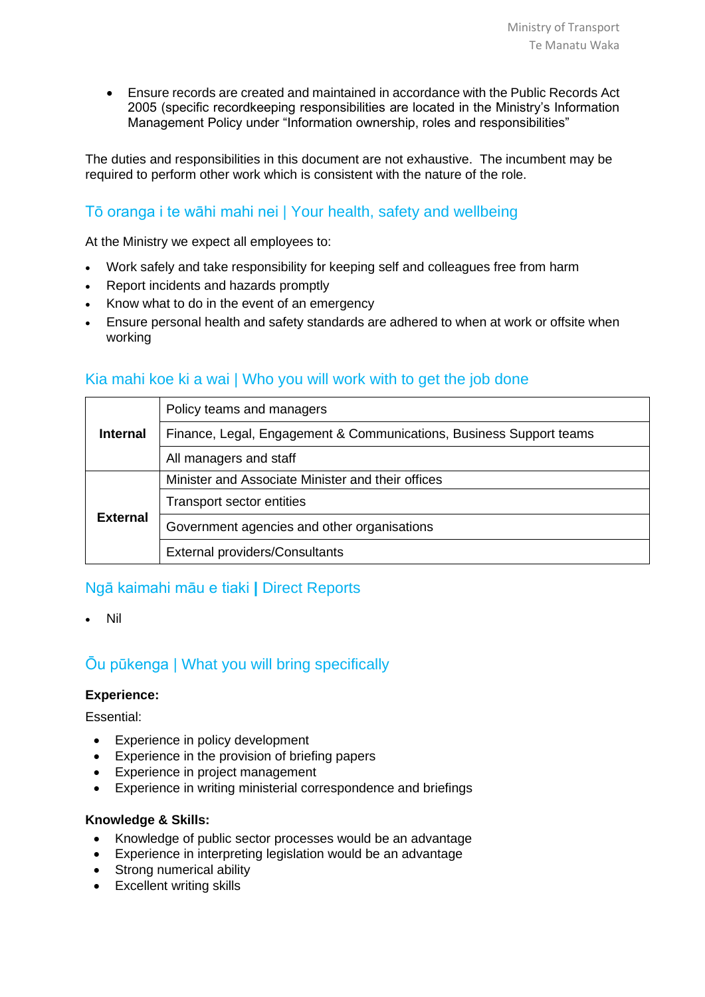• Ensure records are created and maintained in accordance with the Public Records Act 2005 (specific recordkeeping responsibilities are located in the Ministry's Information Management Policy under "Information ownership, roles and responsibilities"

The duties and responsibilities in this document are not exhaustive. The incumbent may be required to perform other work which is consistent with the nature of the role.

# Tō oranga i te wāhi mahi nei | Your health, safety and wellbeing

At the Ministry we expect all employees to:

- Work safely and take responsibility for keeping self and colleagues free from harm
- Report incidents and hazards promptly
- Know what to do in the event of an emergency
- Ensure personal health and safety standards are adhered to when at work or offsite when working

## Kia mahi koe ki a wai | Who you will work with to get the job done

| <b>Internal</b> | Policy teams and managers                                           |
|-----------------|---------------------------------------------------------------------|
|                 | Finance, Legal, Engagement & Communications, Business Support teams |
|                 | All managers and staff                                              |
| <b>External</b> | Minister and Associate Minister and their offices                   |
|                 | <b>Transport sector entities</b>                                    |
|                 | Government agencies and other organisations                         |
|                 | <b>External providers/Consultants</b>                               |

## Ngā kaimahi māu e tiaki **|** Direct Reports

• Nil

# Ōu pūkenga | What you will bring specifically

#### **Experience:**

Essential:

- Experience in policy development
- Experience in the provision of briefing papers
- Experience in project management
- Experience in writing ministerial correspondence and briefings

#### **Knowledge & Skills:**

- Knowledge of public sector processes would be an advantage
- Experience in interpreting legislation would be an advantage
- Strong numerical ability
- Excellent writing skills